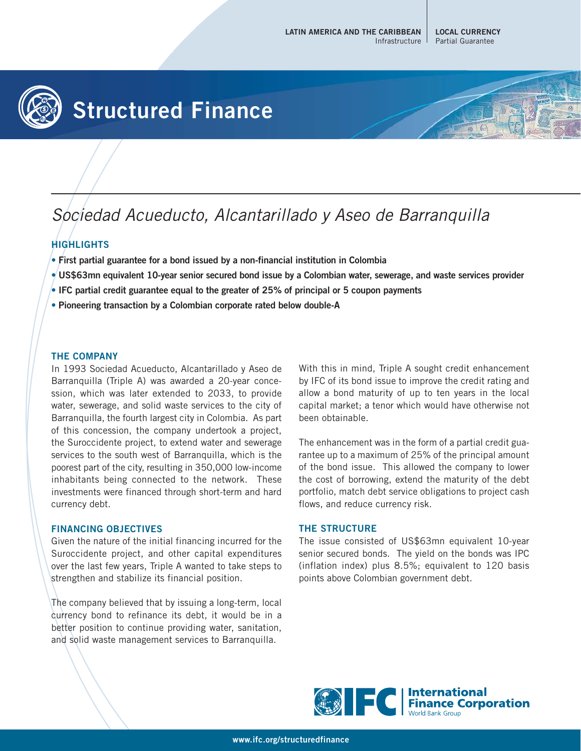

# **Structured Finance**

## Sociedad Acueducto, Alcantarillado y Aseo de Barranquilla

### **HIGHLIGHTS**

- **First partial guarantee for a bond issued by a non-financial institution in Colombia**
- **US\$63mn equivalent 10-year senior secured bond issue by a Colombian water, sewerage, and waste services provider**
- **IFC partial credit guarantee equal to the greater of 25% of principal or 5 coupon payments**
- **Pioneering transaction by a Colombian corporate rated below double-A**

#### **THE COMPANY**

In 1993 Sociedad Acueducto, Alcantarillado y Aseo de Barranquilla (Triple A) was awarded a 20-year concession, which was later extended to 2033, to provide water, sewerage, and solid waste services to the city of Barranquilla, the fourth largest city in Colombia. As part of this concession, the company undertook a project, the Suroccidente project, to extend water and sewerage services to the south west of Barranquilla, which is the poorest part of the city, resulting in 350,000 low-income inhabitants being connected to the network. These investments were financed through short-term and hard currency debt.

#### **FINANCING OBJECTIVES**

Given the nature of the initial financing incurred for the Suroccidente project, and other capital expenditures over the last few years, Triple A wanted to take steps to strengthen and stabilize its financial position.

The company believed that by issuing a long-term, local currency bond to refinance its debt, it would be in a better position to continue providing water, sanitation, and solid waste management services to Barranquilla.

With this in mind, Triple A sought credit enhancement by IFC of its bond issue to improve the credit rating and allow a bond maturity of up to ten years in the local capital market; a tenor which would have otherwise not been obtainable.

The enhancement was in the form of a partial credit guarantee up to a maximum of 25% of the principal amount of the bond issue. This allowed the company to lower the cost of borrowing, extend the maturity of the debt portfolio, match debt service obligations to project cash flows, and reduce currency risk.

#### **THE STRUCTURE**

The issue consisted of US\$63mn equivalent 10-year senior secured bonds. The yield on the bonds was IPC (inflation index) plus 8.5%; equivalent to 120 basis points above Colombian government debt.